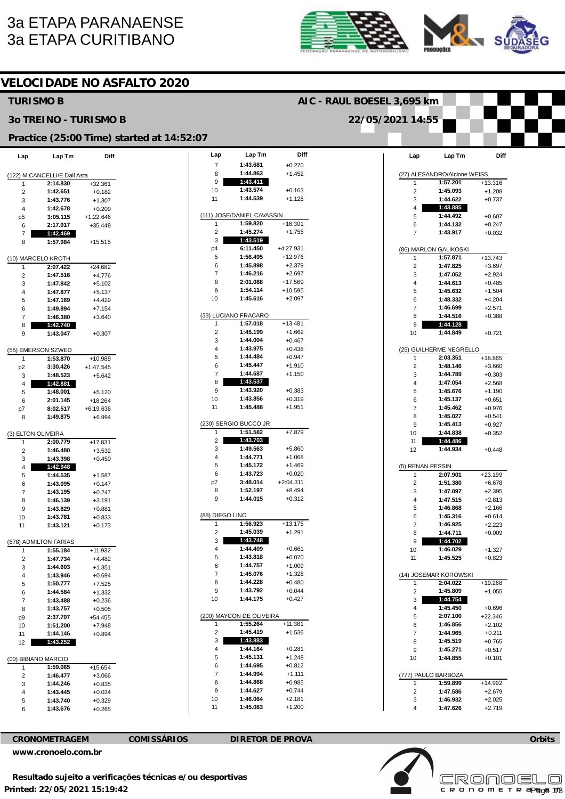# 3a ETAPA PARANAENSE 3a ETAPA CURITIBANO





|                              |                              |                       | <b>VELOCIDADE NO ASFALTO 2020</b>         |                            |                            |                          |  |                         |                              |                       |  |
|------------------------------|------------------------------|-----------------------|-------------------------------------------|----------------------------|----------------------------|--------------------------|--|-------------------------|------------------------------|-----------------------|--|
| <b>TURISMO B</b>             |                              |                       |                                           | AIC - RAUL BOESEL 3,695 km |                            |                          |  |                         |                              |                       |  |
| <b>30 TREINO - TURISMO B</b> |                              |                       |                                           | 22/05/2021 14:55           |                            |                          |  |                         |                              |                       |  |
|                              |                              |                       | Practice (25:00 Time) started at 14:52:07 |                            |                            |                          |  |                         |                              |                       |  |
| Lap                          | Lap Tm                       | Diff                  |                                           | Lap                        | Lap Tm                     | Diff                     |  | Lap                     | Lap Tm                       | Diff                  |  |
|                              | (122) M.CANCELLI/E.Dall Asta |                       |                                           | $\overline{7}$<br>8        | 1:43.681<br>1:44.863       | $+0.270$<br>$+1.452$     |  |                         | (27) ALESANDRO/Alcione WEISS |                       |  |
| 1                            | 2:14.830                     | $+32.361$             |                                           | 9                          | 1:43.411                   |                          |  | 1                       | 1:57.201                     | $+13.316$             |  |
| $\overline{2}$               | 1:42.651                     | $+0.182$              |                                           | 10                         | 1:43.574                   | $+0.163$                 |  | $\overline{2}$          | 1:45.093                     | $+1.208$              |  |
| 3                            | 1:43.776                     | $+1.307$              |                                           | 11                         | 1:44.539                   | $+1.128$                 |  | 3                       | 1:44.622                     | $+0.737$              |  |
| 4                            | 1:42.678                     | $+0.209$              |                                           |                            |                            |                          |  | $\overline{4}$          | 1:43.885                     |                       |  |
| p5                           | 3:05.115                     | $+1:22.646$           |                                           |                            | (111) JOSE/DANIEL CAVASSIN |                          |  | 5                       | 1:44.492                     | $+0.607$              |  |
| 6                            | 2:17.917                     | $+35.448$             |                                           | $\mathbf{1}$               | 1:59.820                   | $+16.301$                |  | 6                       | 1:44.132                     | $+0.247$              |  |
| 7                            | 1:42.469                     |                       |                                           | $\overline{c}$             | 1:45.274                   | $+1.755$                 |  | $\overline{7}$          | 1:43.917                     | $+0.032$              |  |
| 8                            | 1:57.984                     | $+15.515$             |                                           | 3                          | 1:43.519<br>6:11.450       |                          |  |                         |                              |                       |  |
|                              |                              |                       |                                           | p4<br>5                    | 1:56.495                   | $+4:27.931$<br>$+12.976$ |  |                         | (86) MARLON GALIKOSKI        |                       |  |
|                              | (10) MARCELO KROTH           |                       |                                           | 6                          | 1:45.898                   | $+2.379$                 |  | 1<br>$\overline{c}$     | 1:57.871<br>1:47.825         | $+13.743$<br>$+3.697$ |  |
| 1<br>$\overline{2}$          | 2:07.422<br>1:47.516         | $+24.682$<br>$+4.776$ |                                           | 7                          | 1:46.216                   | $+2.697$                 |  | 3                       | 1:47.052                     | $+2.924$              |  |
| 3                            | 1:47.842                     | $+5.102$              |                                           | 8                          | 2:01.088                   | $+17.569$                |  | $\overline{4}$          | 1:44.613                     | $+0.485$              |  |
| 4                            | 1:47.877                     | $+5.137$              |                                           | 9                          | 1:54.114                   | $+10.595$                |  | 5                       | 1:45.632                     | $+1.504$              |  |
| 5                            | 1:47.169                     | $+4.429$              |                                           | 10                         | 1:45.616                   | $+2.097$                 |  | 6                       | 1:48.332                     | $+4.204$              |  |
| 6                            | 1:49.894                     | $+7.154$              |                                           |                            |                            |                          |  | $\overline{7}$          | 1:46.699                     | $+2.571$              |  |
| $\overline{7}$               | 1:46.380                     | $+3.640$              |                                           |                            | (33) LUCIANO FRACARO       |                          |  | 8                       | 1:44.516                     | $+0.388$              |  |
| 8                            | 1:42.740                     |                       |                                           | 1                          | 1:57.018                   | $+13.481$                |  | 9                       | 1:44.128                     |                       |  |
| 9                            | 1:43.047                     | $+0.307$              |                                           | 2                          | 1:45.199                   | $+1.662$                 |  | 10                      | 1:44.849                     | $+0.721$              |  |
|                              |                              |                       |                                           | 3                          | 1:44.004                   | $+0.467$                 |  |                         |                              |                       |  |
|                              | (55) EMERSON SZWED           |                       |                                           | 4                          | 1:43.975                   | $+0.438$                 |  |                         | (25) GUILHERME NEGRELLO      |                       |  |
| -1                           | 1:53.870                     | +10.989               |                                           | 5                          | 1:44.484                   | $+0.947$                 |  | 1                       | 2:03.351                     | $+18.865$             |  |
| p <sub>2</sub>               | 3:30.426                     | $+1:47.545$           |                                           | 6<br>$\overline{7}$        | 1:45.447<br>1:44.687       | $+1.910$<br>$+1.150$     |  | $\overline{2}$          | 1:48.146                     | $+3.660$              |  |
| 3                            | 1:48.523                     | $+5.642$              |                                           | 8                          | 1:43.537                   |                          |  | 3<br>$\overline{4}$     | 1:44.789<br>1:47.054         | $+0.303$              |  |
| 4                            | 1:42.881                     |                       |                                           | 9                          | 1:43.920                   | $+0.383$                 |  | 5                       | 1:45.676                     | $+2.568$<br>$+1.190$  |  |
| 5<br>6                       | 1:48.001<br>2:01.145         | $+5.120$<br>$+18.264$ |                                           | 10                         | 1:43.856                   | $+0.319$                 |  | 6                       | 1:45.137                     | $+0.651$              |  |
| p7                           | 8:02.517                     | $+6:19.636$           |                                           | 11                         | 1:45.488                   | $+1.951$                 |  | $\overline{7}$          | 1:45.462                     | $+0.976$              |  |
| 8                            | 1:49.875                     | $+6.994$              |                                           |                            |                            |                          |  | 8                       | 1:45.027                     | $+0.541$              |  |
|                              |                              |                       |                                           |                            | (230) SERGIO BUCCO JR      |                          |  | 9                       | 1:45.413                     | $+0.927$              |  |
|                              | (3) ELTON OLIVEIRA           |                       |                                           | -1                         | 1:51.582                   | $+7.879$                 |  | 10                      | 1:44.838                     | $+0.352$              |  |
| -1                           | 2:00.779                     | $+17.831$             |                                           | $\overline{c}$             | 1:43.703                   |                          |  | 11                      | 1:44.486                     |                       |  |
| 2                            | 1:46.480                     | $+3.532$              |                                           | 3                          | 1:49.563                   | $+5.860$                 |  | 12                      | 1:44.934                     | $+0.448$              |  |
| 3                            | 1:43.398                     | $+0.450$              |                                           | 4                          | 1:44.771                   | $+1.068$                 |  |                         |                              |                       |  |
|                              | 1:42.948                     |                       |                                           | 5                          | 1:45.172                   | $+1.469$                 |  | (5) RENAN PESSIN        |                              |                       |  |
| 5                            | 1:44.535                     | $+1.587$              |                                           | 6                          | 1:43.723<br>3:48.014       | $+0.020$                 |  | 1                       | 2:07.901                     | $+23.199$             |  |
| 6                            | 1:43.095                     | $+0.147$              |                                           | p7<br>8                    | 1:52.197                   | $+2:04.311$<br>$+8.494$  |  | 2                       | 1:51.380                     | $+6.678$              |  |
| $\overline{7}$               | 1:43.195                     | $+0.247$              |                                           | 9                          | 1:44.015                   | $+0.312$                 |  | 3<br>4                  | 1:47.097<br>1:47.515         | $+2.395$<br>$+2.813$  |  |
| 8<br>9                       | 1:46.139<br>1:43.829         | $+3.191$<br>$+0.881$  |                                           |                            |                            |                          |  | 5                       | 1:46.868                     | $+2.166$              |  |
| 10                           | 1:43.781                     | $+0.833$              |                                           | (88) DIEGO LINO            |                            |                          |  | 6                       | 1:45.316                     | $+0.614$              |  |
| 11                           | 1:43.121                     | $+0.173$              |                                           | $\mathbf{1}$               | 1:56.923                   | $+13.175$                |  | $\overline{7}$          | 1:46.925                     | $+2.223$              |  |
|                              |                              |                       |                                           | 2                          | 1:45.039                   | $+1.291$                 |  | 8                       | 1:44.711                     | $+0.009$              |  |
|                              | (878) ADMILTON FARIAS        |                       |                                           | 3                          | 1:43.748                   |                          |  | 9                       | 1:44.702                     |                       |  |
| $\mathbf{1}$                 | 1:55.184                     | $+11.932$             |                                           | 4                          | 1:44.409                   | $+0.661$                 |  | 10                      | 1:46.029                     | $+1.327$              |  |
| $\overline{2}$               | 1:47.734                     | $+4.482$              |                                           | 5                          | 1:43.818                   | $+0.070$                 |  | 11                      | 1:45.525                     | $+0.823$              |  |
| 3                            | 1:44.603                     | $+1.351$              |                                           | 6                          | 1:44.757                   | $+1.009$                 |  |                         |                              |                       |  |
| 4                            | 1:43.946                     | $+0.694$              |                                           | $\overline{7}$             | 1:45.076                   | $+1.328$                 |  |                         | (14) JOSEMAR KOROWSKI        |                       |  |
| 5                            | 1:50.777                     | $+7.525$              |                                           | 8                          | 1:44.228                   | $+0.480$                 |  | 1                       | 2:04.022                     | $+19.268$             |  |
| 6                            | 1:44.584                     | $+1.332$              |                                           | 9<br>10                    | 1:43.792<br>1:44.175       | $+0.044$<br>$+0.427$     |  | $\overline{2}$<br>3     | 1:45.809                     | $+1.055$              |  |
| $\overline{7}$               | 1:43.488                     | $+0.236$              |                                           |                            |                            |                          |  |                         | 1:44.754<br>1:45.450         |                       |  |
| 8                            | 1:43.757<br>2:37.707         | $+0.505$<br>$+54.455$ |                                           |                            | (200) MAYCON DE OLIVEIRA   |                          |  | 4<br>5                  | 2:07.100                     | $+0.696$<br>$+22.346$ |  |
| p <sub>9</sub><br>10         | 1:51.200                     | $+7.948$              |                                           | 1                          | 1:55.264                   | $+11.381$                |  | 6                       | 1:46.856                     | $+2.102$              |  |
| 11                           | 1:44.146                     | $+0.894$              |                                           | $\overline{c}$             | 1:45.419                   | $+1.536$                 |  | $\overline{7}$          | 1:44.965                     | $+0.211$              |  |
| 12                           | 1:43.252                     |                       |                                           | 3                          | 1:43.883                   |                          |  | 8                       | 1:45.519                     | $+0.765$              |  |
|                              |                              |                       |                                           | 4                          | 1:44.164                   | $+0.281$                 |  | 9                       | 1:45.271                     | $+0.517$              |  |
|                              | (00) BIBIANO MARCIO          |                       |                                           | 5                          | 1:45.131                   | $+1.248$                 |  | 10                      | 1:44.855                     | $+0.101$              |  |
| $\mathbf{1}$                 | 1:59.065                     | $+15.654$             |                                           | 6                          | 1:44.695                   | $+0.812$                 |  |                         |                              |                       |  |
| $\overline{2}$               | 1:46.477                     | $+3.066$              |                                           | 7                          | 1:44.994                   | $+1.111$                 |  |                         | (777) PAULO BARBOZA          |                       |  |
| 3                            | 1:44.246                     | $+0.835$              |                                           | 8                          | 1:44.868                   | $+0.985$                 |  | 1                       | 1:59.899                     | +14.992               |  |
| 4                            | 1:43.445                     | $+0.034$              |                                           | 9                          | 1:44.627                   | $+0.744$                 |  | 2                       | 1:47.586                     | $+2.679$              |  |
| 5                            | 1:43.740                     | $+0.329$              |                                           | 10<br>11                   | 1:46.064<br>1:45.083       | $+2.181$<br>$+1.200$     |  | 3                       | 1:46.932                     | $+2.025$              |  |
| 6                            | 1:43.676                     | $+0.265$              |                                           |                            |                            |                          |  | $\overline{\mathbf{4}}$ | 1:47.626                     | $+2.719$              |  |

**CRONOMETRAGEM COMISSÁRIOS DIRETOR DE PROVA** 

**[www.cronoelo.com.br](http://www.cronoelo.com.br)** 

**Printed: 22/05/2021 15:19:42 Resultado sujeito a verificações técnicas e/ou desportivas** 



**Orbits**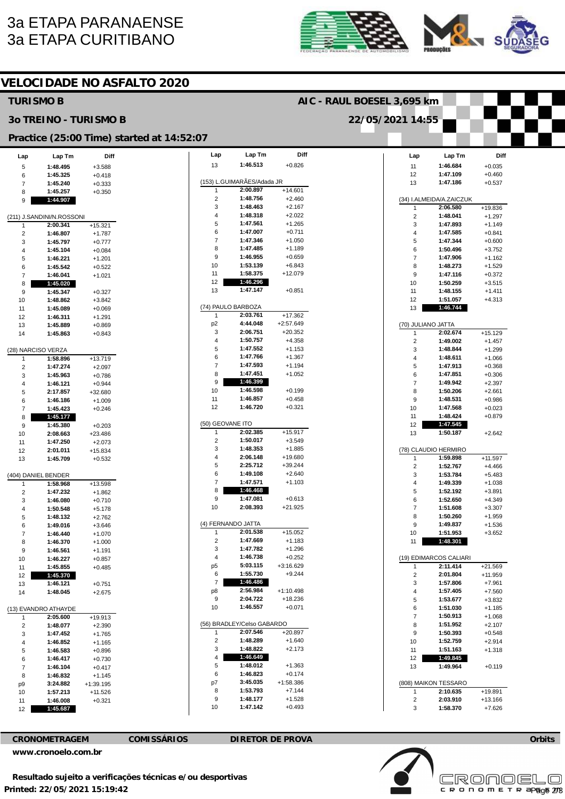## 3a ETAPA PARANAENSE 3a ETAPA CURITIBANO





### **VELOCIDADE NO ASFALTO 2020**

### **Lap**  13 (153) L.GUIMARÃES/Adada JR 1  $\mathcal{L}$ 3 4 5 6 7 8 9 10 11 12 13 (74) PAULO BARBOZA 1 p2 3 4 5 6 7 8 9 10 11 12 (50) GEOVANE ITO 1 2 3 4 5 6 7 8 9 10 (4) FERNANDO JATTA 1 2 3 4 p5 6 7 p8 9 10 (56) BRADLEY/Celso GABARDO 1  $\overline{2}$ 3 4 5 6 <sub>n7</sub> 8 9 10 **Lap Tm 1:46.513 2:00.897 1:48.756 1:48.463 1:48.318 1:47.561 1:47.007 1:47.346 1:47.485 1:46.955 1:53.139 1:58.375 1:46.296 1:47.147 2:03.761 4:44.048 2:06.751 1:50.757 1:47.552 1:47.766 1:47.593 1:47.451 1:46.399 1:46.598 1:46.857 1:46.720 2:02.385 1:50.017 1:48.353 2:06.148 2:25.712 1:49.108 1:47.571 1:46.468 1:47.081 2:08.393 2:01.538 1:47.669 1:47.782 1:46.738 5:03.115 1:55.730 1:46.486 2:56.984 2:04.722 1:46.557 2:07.546 1:48.289 1:48.822 1:46.649 1:48.012 1:46.823 3:45.035 1:53.793 1:48.177 1:47.142 Diff**  +0.826 +14.601  $+2.460$ +2.167 +2.022 +1.265 +0.711 +1.050 +1.189 +0.659 +6.843 +12.079 +0.851 +17.362 +2:57.649 +20.352 +4.358 +1.153 +1.367 +1.194 +1.052 +0.199 +0.458 +0.321 +15.917 +3.549 +1.885 +19.680 +39.244 +2.640 +1.103  $+0.613$ +21.925 +15.052 +1.183 +1.296 +0.252 +3:16.629 +9.244  $+1.10.498$ +18.236 +0.071 +20.897  $+1.640$ +2.173 +1.363 +0.174 +1:58.386 +7.144 +1.528 +0.493 **Lap**  11 12 13 (34) I.ALMEIDA/A.ZAICZUK 1 2 3 4 5 6 7 8 9 10 11 12 13 (70) JULIANO JATTA 1  $\overline{2}$ 3 4 5 6  $\rightarrow$ 8 9 10 11 12 13 (78) CLAUDIO HERMIRO 1 2 3 4 5 6 7 8 9 10 11 (19) EDIMARCOS CALIARI 1 2 3 4 5 6 7 8  $\mathsf{q}$ 10 11 12 13 (808) MAIKON TESSARO 1 2 3 **Lap Tm 1:46.684 1:47.109 1:47.186 2:06.580 1:48.041 1:47.893 1:47.585 1:47.344 1:50.496 1:47.906 1:48.273 1:47.116 1:50.259 1:48.155 1:51.057 1:46.744 2:02.674 1:49.002 1:48.844 1:48.611 1:47.913 1:47.851 1:49.942 1:50.206 1:48.531 1:47.568 1:48.424 1:47.545 1:50.187 1:59.898 1:52.767 1:53.784 1:49.339 1:52.192 1:52.650 1:51.608 1:50.260 1:49.837 1:51.953 1:48.301 2:11.414 2:01.804 1:57.806 1:57.405 1:53.677 1:51.030 1:50.913 1:51.952 1:50.393 1:52.759 1:51.163 1:49.845 1:49.964 2:10.635 2:03.910 1:58.370 Diff**  +0.035 +0.460 +0.537 +19.836 +1.297 +1.149 +0.841  $+0.600$ +3.752 +1.162 +1.529 +0.372 +3.515 +1.411 +4.313 +15.129 +1.457 +1.299 +1.066 +0.368 +0.306 +2.397 +2.661 +0.986 +0.023 +0.879 +2.642 +11.597 +4.466 +5.483 +1.038 +3.891 +4.349 +3.307 +1.959 +1.536 +3.652 +21.569 +11.959 +7.961 +7.560 +3.832 +1.185 +1.068 +2.107 +0.548 +2.914 +1.318 +0.119 +19.891 +13.166 +7.626 **Lap**  5 6 7 8 9 (211) J.SANDINI/N.ROSSONI 1  $\overline{2}$ 3 4 5 6 7 8 9 10 11 12 13 14 (28) NARCISO VERZA 1 2 3 4 5 6 7 8  $\overline{9}$ 10 11 12 13 (404) DANIEL BENDER 1 2 3 4 5 6 7 8 9 10 11 12 13 14 (13) EVANDRO ATHAYDE 1 2 3 4 5 6 7 8 p9 10 11 12 **Lap Tm 1:48.495 1:45.325 1:45.240 1:45.257 1:44.907 2:00.341 1:46.807 1:45.797 1:45.104 1:46.221 1:45.542 1:46.041 1:45.020 1:45.347 1:48.862 1:45.089 1:46.311 1:45.889 1:45.863 1:58.896 1:47.274 1:45.963 1:46.121 2:17.857 1:46.186 1:45.423 1:45.177 1:45.380 2:08.663 1:47.250 2:01.011 1:45.709 1:58.968 1:47.232 1:46.080 1:50.548 1:48.132 1:49.016 1:46.440 1:46.370 1:46.561 1:46.227 1:45.855 1:45.370 1:46.121 1:48.045 2:05.600 1:48.077 1:47.452 1:46.852 1:46.583 1:46.417 1:46.104 1:46.832 3:24.882 1:57.213 1:46.008 1:45.687 Diff**  +3.588  $+0.418$ +0.333 +0.350 +15.321 +1.787 +0.777 +0.084 +1.201 +0.522 +1.021 +0.327 +3.842 +0.069 +1.291 +0.869 +0.843 +13.719 +2.097 +0.786 +0.944 +32.680 +1.009 +0.246 +0.203 +23.486 +2.073 +15.834 +0.532 +13.598 +1.862 +0.710 +5.178 +2.762 +3.646 +1.070 +1.000 +1.191 +0.857 +0.485 +0.751 +2.675 +19.913 +2.390 +1.765 +1.165 +0.896 +0.730 +0.417 +1.145 +1:39.195 +11.526 +0.321 **TURISMO B 3o TREINO - TURISMO B Practice (25:00 Time) started at 14:52:07 AIC - RAUL BOESEL 3,695 km 22/05/2021 14:55**

**CRONOMETRAGEM COMISSÁRIOS DIRETOR DE PROVA** 

**[www.cronoelo.com.br](http://www.cronoelo.com.br)** 





**Orbits**